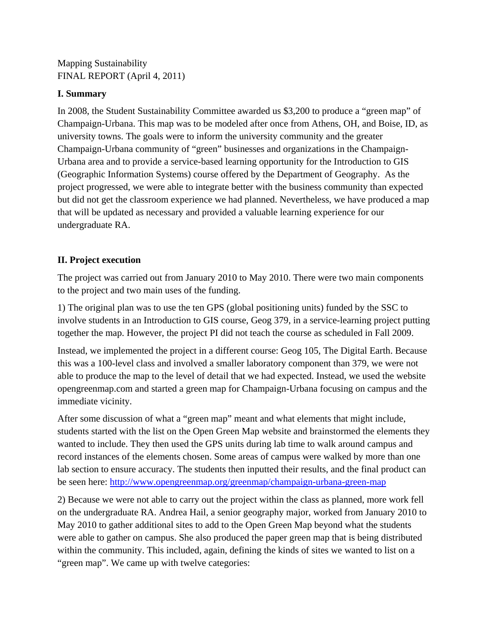Mapping Sustainability FINAL REPORT (April 4, 2011)

## **I. Summary**

In 2008, the Student Sustainability Committee awarded us \$3,200 to produce a "green map" of Champaign-Urbana. This map was to be modeled after once from Athens, OH, and Boise, ID, as university towns. The goals were to inform the university community and the greater Champaign-Urbana community of "green" businesses and organizations in the Champaign-Urbana area and to provide a service-based learning opportunity for the Introduction to GIS (Geographic Information Systems) course offered by the Department of Geography. As the project progressed, we were able to integrate better with the business community than expected but did not get the classroom experience we had planned. Nevertheless, we have produced a map that will be updated as necessary and provided a valuable learning experience for our undergraduate RA.

# **II. Project execution**

The project was carried out from January 2010 to May 2010. There were two main components to the project and two main uses of the funding.

1) The original plan was to use the ten GPS (global positioning units) funded by the SSC to involve students in an Introduction to GIS course, Geog 379, in a service-learning project putting together the map. However, the project PI did not teach the course as scheduled in Fall 2009.

Instead, we implemented the project in a different course: Geog 105, The Digital Earth. Because this was a 100-level class and involved a smaller laboratory component than 379, we were not able to produce the map to the level of detail that we had expected. Instead, we used the website opengreenmap.com and started a green map for Champaign-Urbana focusing on campus and the immediate vicinity.

After some discussion of what a "green map" meant and what elements that might include, students started with the list on the Open Green Map website and brainstormed the elements they wanted to include. They then used the GPS units during lab time to walk around campus and record instances of the elements chosen. Some areas of campus were walked by more than one lab section to ensure accuracy. The students then inputted their results, and the final product can be seen here: http://www.opengreenmap.org/greenmap/champaign-urbana-green-map

2) Because we were not able to carry out the project within the class as planned, more work fell on the undergraduate RA. Andrea Hail, a senior geography major, worked from January 2010 to May 2010 to gather additional sites to add to the Open Green Map beyond what the students were able to gather on campus. She also produced the paper green map that is being distributed within the community. This included, again, defining the kinds of sites we wanted to list on a "green map". We came up with twelve categories: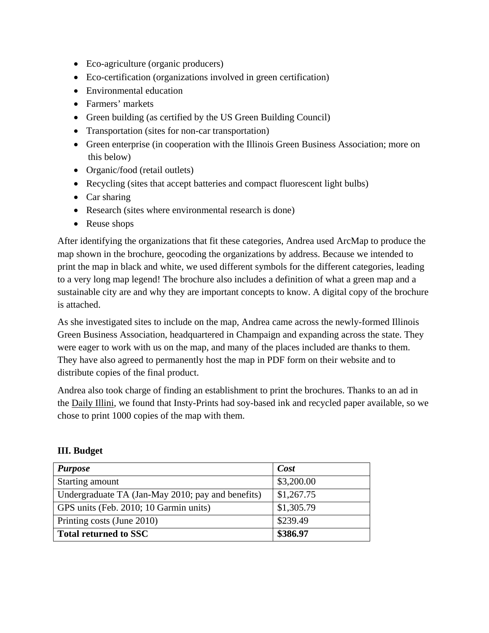- Eco-agriculture (organic producers)
- Eco-certification (organizations involved in green certification)
- Environmental education
- Farmers' markets
- Green building (as certified by the US Green Building Council)
- Transportation (sites for non-car transportation)
- Green enterprise (in cooperation with the Illinois Green Business Association; more on this below)
- Organic/food (retail outlets)
- Recycling (sites that accept batteries and compact fluorescent light bulbs)
- Car sharing
- Research (sites where environmental research is done)
- Reuse shops

After identifying the organizations that fit these categories, Andrea used ArcMap to produce the map shown in the brochure, geocoding the organizations by address. Because we intended to print the map in black and white, we used different symbols for the different categories, leading to a very long map legend! The brochure also includes a definition of what a green map and a sustainable city are and why they are important concepts to know. A digital copy of the brochure is attached.

As she investigated sites to include on the map, Andrea came across the newly-formed Illinois Green Business Association, headquartered in Champaign and expanding across the state. They were eager to work with us on the map, and many of the places included are thanks to them. They have also agreed to permanently host the map in PDF form on their website and to distribute copies of the final product.

Andrea also took charge of finding an establishment to print the brochures. Thanks to an ad in the Daily Illini, we found that Insty-Prints had soy-based ink and recycled paper available, so we chose to print 1000 copies of the map with them.

| <b>Purpose</b>                                    | Cost       |
|---------------------------------------------------|------------|
| Starting amount                                   | \$3,200.00 |
| Undergraduate TA (Jan-May 2010; pay and benefits) | \$1,267.75 |
| GPS units (Feb. 2010; 10 Garmin units)            | \$1,305.79 |
| Printing costs (June 2010)                        | \$239.49   |
| <b>Total returned to SSC</b>                      | \$386.97   |

# **III. Budget**